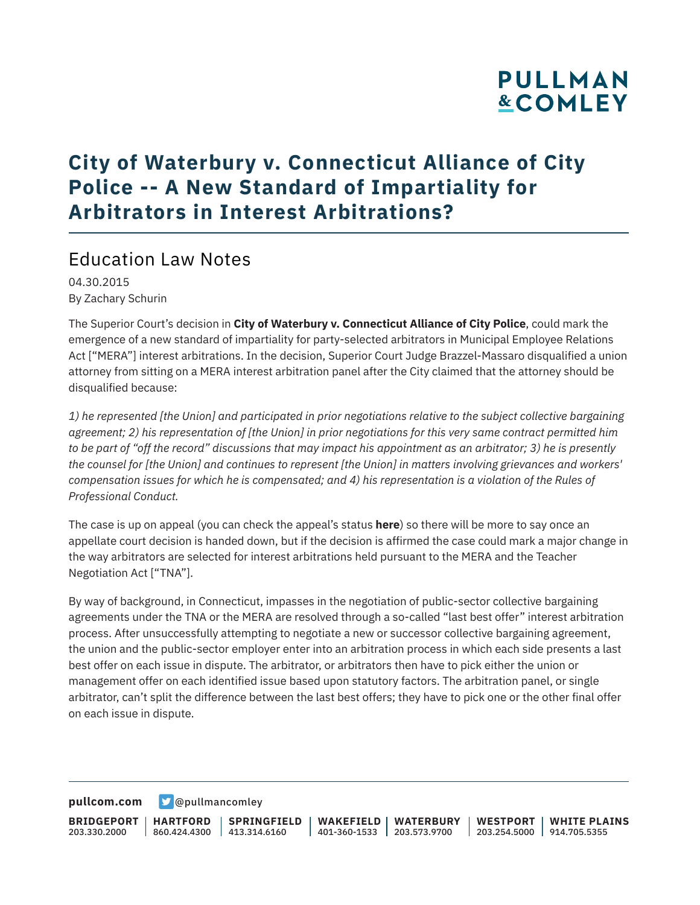# **PULLMAN &COMLEY**

### **City of Waterbury v. Connecticut Alliance of City Police -- A New Standard of Impartiality for Arbitrators in Interest Arbitrations?**

### Education Law Notes

04.30.2015 By Zachary Schurin

The Superior Court's decision in **City of Waterbury v. Connecticut Alliance of City Police**, could mark the emergence of a new standard of impartiality for party-selected arbitrators in Municipal Employee Relations Act ["MERA"] interest arbitrations. In the decision, Superior Court Judge Brazzel-Massaro disqualified a union attorney from sitting on a MERA interest arbitration panel after the City claimed that the attorney should be disqualified because:

*1) he represented [the Union] and participated in prior negotiations relative to the subject collective bargaining agreement; 2) his representation of [the Union] in prior negotiations for this very same contract permitted him to be part of "off the record" discussions that may impact his appointment as an arbitrator; 3) he is presently the counsel for [the Union] and continues to represent [the Union] in matters involving grievances and workers' compensation issues for which he is compensated; and 4) his representation is a violation of the Rules of Professional Conduct.*

The case is up on appeal (you can check the appeal's status **here**) so there will be more to say once an appellate court decision is handed down, but if the decision is affirmed the case could mark a major change in the way arbitrators are selected for interest arbitrations held pursuant to the MERA and the Teacher Negotiation Act ["TNA"].

By way of background, in Connecticut, impasses in the negotiation of public-sector collective bargaining agreements under the TNA or the MERA are resolved through a so-called "last best offer" interest arbitration process. After unsuccessfully attempting to negotiate a new or successor collective bargaining agreement, the union and the public-sector employer enter into an arbitration process in which each side presents a last best offer on each issue in dispute. The arbitrator, or arbitrators then have to pick either the union or management offer on each identified issue based upon statutory factors. The arbitration panel, or single arbitrator, can't split the difference between the last best offers; they have to pick one or the other final offer on each issue in dispute.

**[pullcom.com](https://www.pullcom.com) g** [@pullmancomley](https://twitter.com/PullmanComley)

**BRIDGEPORT** 203.330.2000

**HARTFORD**

860.424.4300 413.314.6160 **SPRINGFIELD** **WAKEFIELD WATERBURY** 401-360-1533 203.573.9700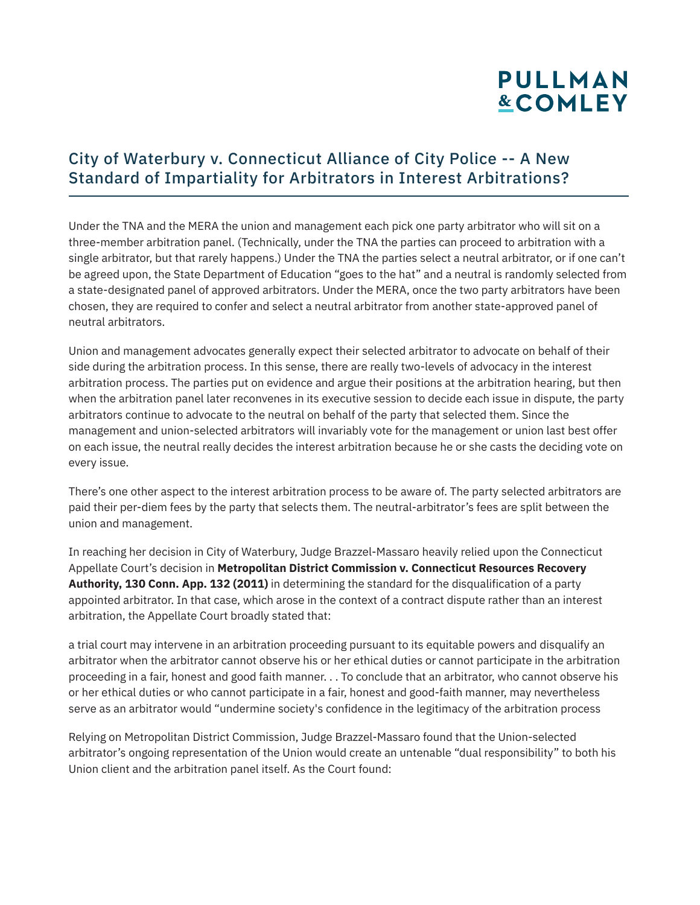# **PULLMAN &COMLEY**

#### City of Waterbury v. Connecticut Alliance of City Police -- A New Standard of Impartiality for Arbitrators in Interest Arbitrations?

Under the TNA and the MERA the union and management each pick one party arbitrator who will sit on a three-member arbitration panel. (Technically, under the TNA the parties can proceed to arbitration with a single arbitrator, but that rarely happens.) Under the TNA the parties select a neutral arbitrator, or if one can't be agreed upon, the State Department of Education "goes to the hat" and a neutral is randomly selected from a state-designated panel of approved arbitrators. Under the MERA, once the two party arbitrators have been chosen, they are required to confer and select a neutral arbitrator from another state-approved panel of neutral arbitrators.

Union and management advocates generally expect their selected arbitrator to advocate on behalf of their side during the arbitration process. In this sense, there are really two-levels of advocacy in the interest arbitration process. The parties put on evidence and argue their positions at the arbitration hearing, but then when the arbitration panel later reconvenes in its executive session to decide each issue in dispute, the party arbitrators continue to advocate to the neutral on behalf of the party that selected them. Since the management and union-selected arbitrators will invariably vote for the management or union last best offer on each issue, the neutral really decides the interest arbitration because he or she casts the deciding vote on every issue.

There's one other aspect to the interest arbitration process to be aware of. The party selected arbitrators are paid their per-diem fees by the party that selects them. The neutral-arbitrator's fees are split between the union and management.

In reaching her decision in City of Waterbury, Judge Brazzel-Massaro heavily relied upon the Connecticut Appellate Court's decision in **Metropolitan District Commission v. Connecticut Resources Recovery Authority, 130 Conn. App. 132 (2011)** in determining the standard for the disqualification of a party appointed arbitrator. In that case, which arose in the context of a contract dispute rather than an interest arbitration, the Appellate Court broadly stated that:

a trial court may intervene in an arbitration proceeding pursuant to its equitable powers and disqualify an arbitrator when the arbitrator cannot observe his or her ethical duties or cannot participate in the arbitration proceeding in a fair, honest and good faith manner. . . To conclude that an arbitrator, who cannot observe his or her ethical duties or who cannot participate in a fair, honest and good-faith manner, may nevertheless serve as an arbitrator would "undermine society's confidence in the legitimacy of the arbitration process

Relying on Metropolitan District Commission, Judge Brazzel-Massaro found that the Union-selected arbitrator's ongoing representation of the Union would create an untenable "dual responsibility" to both his Union client and the arbitration panel itself. As the Court found: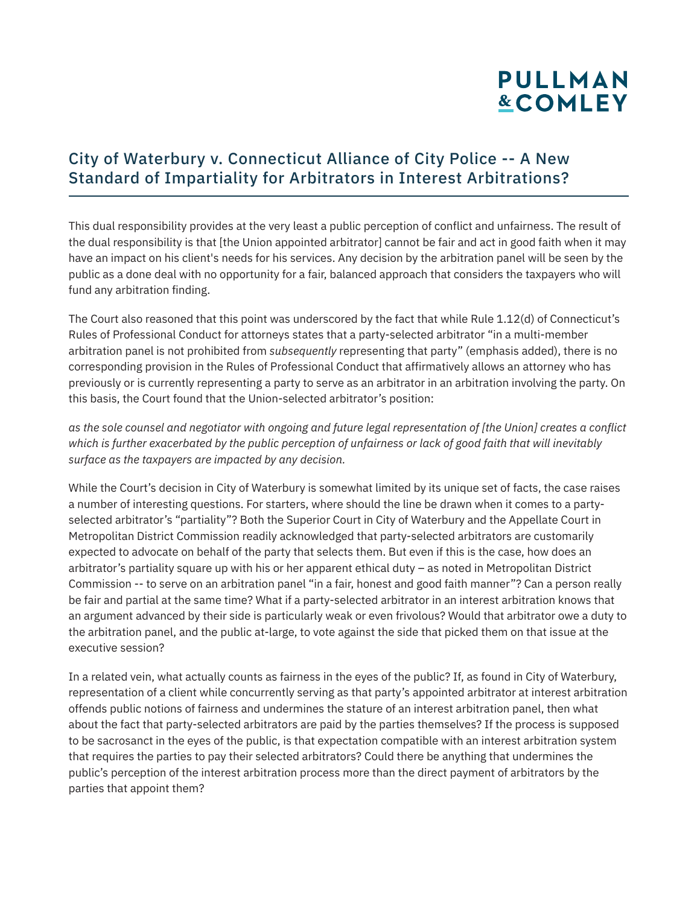# **PULLMAN &COMLEY**

#### City of Waterbury v. Connecticut Alliance of City Police -- A New Standard of Impartiality for Arbitrators in Interest Arbitrations?

This dual responsibility provides at the very least a public perception of conflict and unfairness. The result of the dual responsibility is that [the Union appointed arbitrator] cannot be fair and act in good faith when it may have an impact on his client's needs for his services. Any decision by the arbitration panel will be seen by the public as a done deal with no opportunity for a fair, balanced approach that considers the taxpayers who will fund any arbitration finding.

The Court also reasoned that this point was underscored by the fact that while Rule 1.12(d) of Connecticut's Rules of Professional Conduct for attorneys states that a party-selected arbitrator "in a multi-member arbitration panel is not prohibited from *subsequently* representing that party" (emphasis added), there is no corresponding provision in the Rules of Professional Conduct that affirmatively allows an attorney who has previously or is currently representing a party to serve as an arbitrator in an arbitration involving the party. On this basis, the Court found that the Union-selected arbitrator's position:

*as the sole counsel and negotiator with ongoing and future legal representation of [the Union] creates a conflict which is further exacerbated by the public perception of unfairness or lack of good faith that will inevitably surface as the taxpayers are impacted by any decision.*

While the Court's decision in City of Waterbury is somewhat limited by its unique set of facts, the case raises a number of interesting questions. For starters, where should the line be drawn when it comes to a partyselected arbitrator's "partiality"? Both the Superior Court in City of Waterbury and the Appellate Court in Metropolitan District Commission readily acknowledged that party-selected arbitrators are customarily expected to advocate on behalf of the party that selects them. But even if this is the case, how does an arbitrator's partiality square up with his or her apparent ethical duty – as noted in Metropolitan District Commission -- to serve on an arbitration panel "in a fair, honest and good faith manner"? Can a person really be fair and partial at the same time? What if a party-selected arbitrator in an interest arbitration knows that an argument advanced by their side is particularly weak or even frivolous? Would that arbitrator owe a duty to the arbitration panel, and the public at-large, to vote against the side that picked them on that issue at the executive session?

In a related vein, what actually counts as fairness in the eyes of the public? If, as found in City of Waterbury, representation of a client while concurrently serving as that party's appointed arbitrator at interest arbitration offends public notions of fairness and undermines the stature of an interest arbitration panel, then what about the fact that party-selected arbitrators are paid by the parties themselves? If the process is supposed to be sacrosanct in the eyes of the public, is that expectation compatible with an interest arbitration system that requires the parties to pay their selected arbitrators? Could there be anything that undermines the public's perception of the interest arbitration process more than the direct payment of arbitrators by the parties that appoint them?